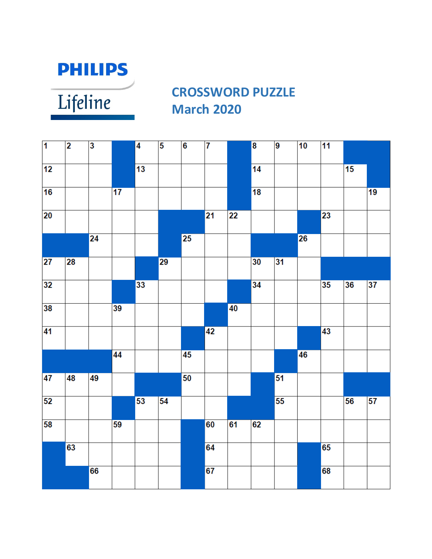

Lifeline

### **CROSSWORD PUZZLE March 2020**

| $\overline{\mathbf{1}}$ | $\overline{\mathbf{2}}$ | $\overline{\mathbf{3}}$ |                 | $\overline{4}$  | $\overline{\mathbf{5}}$ | $\overline{\mathbf{6}}$ | $\overline{\mathbf{7}}$ |                 | $\overline{\mathbf{8}}$ | $\overline{9}$  | 10              | 11              |                 |                 |
|-------------------------|-------------------------|-------------------------|-----------------|-----------------|-------------------------|-------------------------|-------------------------|-----------------|-------------------------|-----------------|-----------------|-----------------|-----------------|-----------------|
| 12                      |                         |                         |                 | 13              |                         |                         |                         |                 | 14                      |                 |                 |                 | 15              |                 |
| 16                      |                         |                         | $\overline{17}$ |                 |                         |                         |                         |                 | $\overline{18}$         |                 |                 |                 |                 | $\overline{19}$ |
| $\overline{20}$         |                         |                         |                 |                 |                         |                         | $\overline{21}$         | 22              |                         |                 |                 | 23              |                 |                 |
|                         |                         | $\overline{24}$         |                 |                 |                         | $\overline{25}$         |                         |                 |                         |                 | $\overline{26}$ |                 |                 |                 |
| $\overline{27}$         | 28                      |                         |                 |                 | 29                      |                         |                         |                 | 30                      | 31              |                 |                 |                 |                 |
| 32                      |                         |                         |                 | 33              |                         |                         |                         |                 | 34                      |                 |                 | $\overline{35}$ | $\overline{36}$ | $\overline{37}$ |
| 38                      |                         |                         | 39              |                 |                         |                         |                         | $\overline{40}$ |                         |                 |                 |                 |                 |                 |
| 41                      |                         |                         |                 |                 |                         |                         | $\overline{42}$         |                 |                         |                 |                 | $\overline{43}$ |                 |                 |
|                         |                         |                         | 44              |                 |                         | $\overline{45}$         |                         |                 |                         |                 | 46              |                 |                 |                 |
| $\overline{47}$         | 48                      | 49                      |                 |                 |                         | 50                      |                         |                 |                         | $\overline{51}$ |                 |                 |                 |                 |
| 52                      |                         |                         |                 | $\overline{53}$ | 54                      |                         |                         |                 |                         | 55              |                 |                 | 56              | $\overline{57}$ |
| 58                      |                         |                         | 59              |                 |                         |                         | 60                      | 61              | 62                      |                 |                 |                 |                 |                 |
|                         | 63                      |                         |                 |                 |                         |                         | 64                      |                 |                         |                 |                 | 65              |                 |                 |
|                         |                         | 66                      |                 |                 |                         |                         | 67                      |                 |                         |                 |                 | 68              |                 |                 |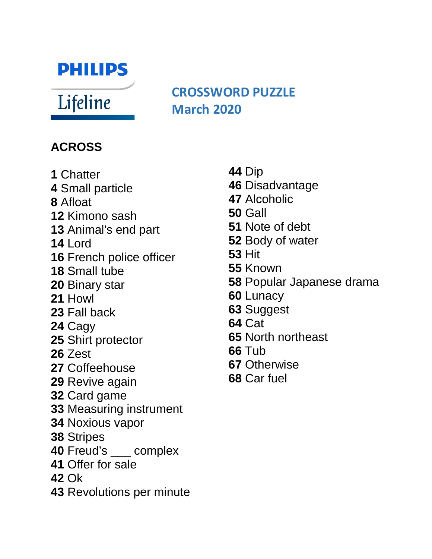## **PHILIPS**

Lifeline

### **CROSSWORD PUZZLE March 2020**

#### **ACROSS**

- Chatter
- Small particle
- Afloat
- Kimono sash
- Animal's end part
- Lord
- French police officer
- Small tube
- Binary star
- Howl
- Fall back
- Cagy
- Shirt protector
- Zest
- Coffeehouse
- Revive again
- Card game
- Measuring instrument
- Noxious vapor
- Stripes
- Freud's \_\_\_ complex
- Offer for sale
- Ok
- Revolutions per minute
- Dip
- Disadvantage
- Alcoholic
- Gall
- Note of debt
- Body of water
- Hit
- Known
- Popular Japanese drama
- Lunacy
- Suggest
- Cat
- North northeast
- Tub
- Otherwise
- Car fuel